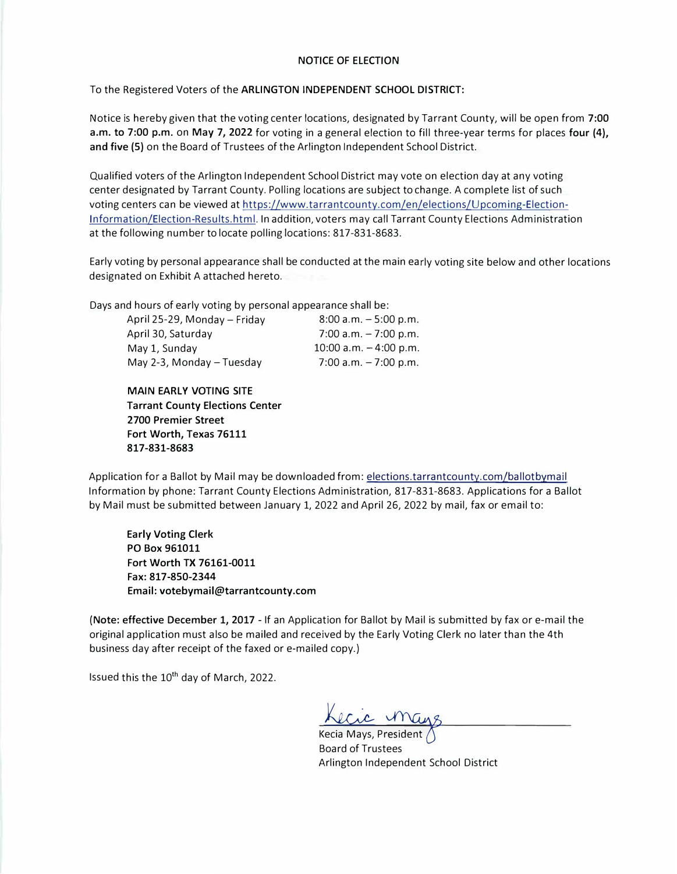## NOTICE OF ELECTION

To the Registered Voters of the **ARLINGTON INDEPENDENT SCHOOL DISTRICT:**

Notice is hereby given that the voting center locations, designated by Tarrant County, will be open from **7:00 a.m. to 7:00 p.m.** on **May 7, 2022** for voting in a general election to fill three-year terms for places **four (4), and five (5)** on the Board of Trustees of the Arlington Independent School District.

Qualified voters of the Arlington Independent School District may vote on election day at any voting center designated by Tarrant County. Polling locations are subject to change. A complete list of such voting centers can be viewed at https://www.tarrantcounty.com/en/elections/Upcoming-Election-Information/Election-Results.html. In addition, voters may call Tarrant County Elections Administration at the following number to locate polling locations: 817-831-8683.

Early voting by personal appearance shall be conducted at the main early voting site below and other locations designated on Exhibit A attached hereto.

Days and hours of early voting by personal appearance shall be:

| April 25-29, Monday - Friday | $8:00$ a.m. $-5:00$ p.m. |
|------------------------------|--------------------------|
| April 30, Saturday           | 7:00 a.m. $-7:00$ p.m.   |
| May 1, Sunday                | 10:00 a.m. $-4:00$ p.m.  |
| May 2-3, Monday - Tuesday    | 7:00 a.m. $-7:00$ p.m.   |

**MAIN EARLY VOTING SITE Tarrant County Elections Center 2700 Premier Street Fort Worth, Texas 76111 817-831-8683**

Application for a Ballot by Mail may be downloaded from: elections.tarrantcounty.com/ballotbymail Information by phone: Tarrant County Elections Administration, 817-831-8683. Applications for a Ballot by Mail must be submitted between January 1, 2022 and April 26, 2022 by mail, fax or email to:

**Early Voting Clerk PO Box 961011 Fort Worth TX 76161-0011 Fax: 817-850-2344 Email: votebymail@tarrantcounty.com** 

**(Note: effective December 1, 2017** - If an Application for Ballot by Mail is submitted by fax or e-mail the original application must also be mailed and received by the Early Voting Clerk no later than the 4th business day after receipt of the faxed or e-mailed copy.)

Issued this the 10<sup>th</sup> day of March, 2022.

Kecic man

<u>NCC VIVULS</u><br>Kecia Mays, President Board of Trustees Arlington Independent School District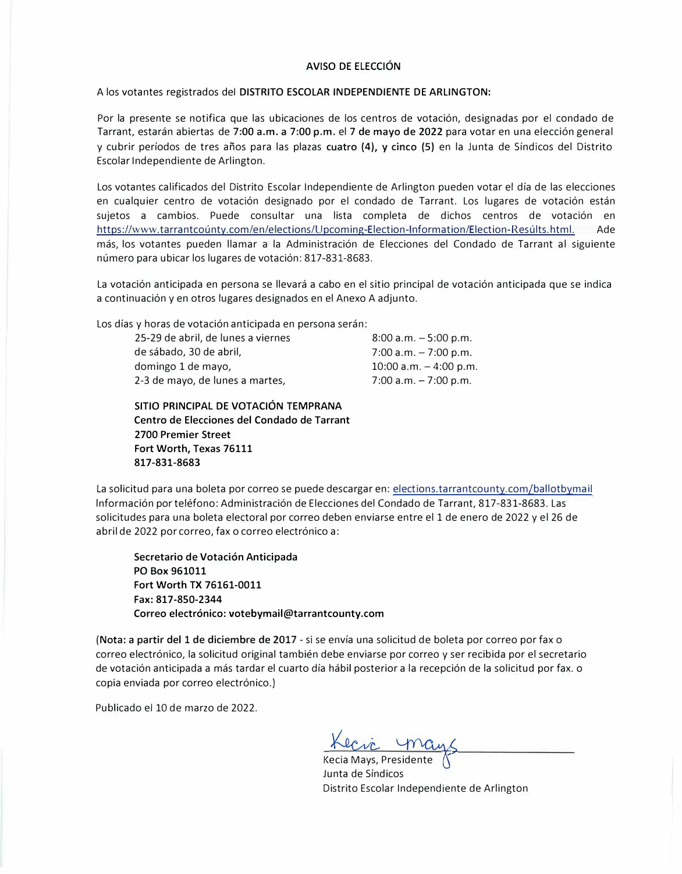## **AVISO** DE ELECCION

### A los votantes registrados del **DISTRITO ESCOLAR INDEPENDIENTE** DE **ARLINGTON:**

Por la presente se notifica que las ubicaciones de los centros de votación, designadas por el condado de Tarrant, estarán abiertas de 7:00 a.m. a 7:00 p.m. el 7 de mayo de 2022 para votar en una elección general y cubrir periodos de tres aiios para las plazas cuatro **(4),** y cinco (5) en la Junta de Sindicos del Distrito Escolar lndependiente de Arlington.

Los votantes calificados del Distrito Escolar lndependiente de Arlington pueden votar el dia de las elecciones en cualquier centro de votación designado por el condado de Tarrant. Los lugares de votación están sujetos a cambios. Puede consultar una lista completa de dichos centros de votación en https://www.tarrantcounty.com/en/elections/Upcoming-Election-Information/Election-Results.html. Ade más, los votantes pueden llamar a la Administración de Elecciones del Condado de Tarrant al siguiente número para ubicar los lugares de votación: 817-831-8683.

La votación anticipada en persona se llevará a cabo en el sitio principal de votación anticipada que se indica a continuación y en otros lugares designados en el Anexo A adjunto.

Los días y horas de votación anticipada en persona serán:

25-29 de abril, de lunes a viernes de sabado, 30 de abril, domingo 1 de mayo, 2-3 de mayo, de lunes a martes,

 $8:00$  a.m.  $-5:00$  p.m.  $7:00$  a.m.  $-7:00$  p.m.  $10:00$  a.m.  $-4:00$  p.m.  $7:00$  a.m.  $-7:00$  p.m.

**SITIO PRINCIPAL DE VOTACION TEMPRANA Centro de Elecciones del Condado de Tarrant 2700 Premier Street Fort Worth, Texas 76111 817-831-8683**

La solicitud para una boleta por correo se puede descargar en: elections.tarrantcounty.com/ballotbymail lnformaci6n por telefono: Administraci6n de Elecciones del Conda do de Tarrant, 817-831-8683. Las solicitudes para una boleta electoral por correo deben enviarse entre el 1 de enero de 2022 y el 26 de abril de 2022 por correo, fax o correo electrónico a:

**Secretario de Votacion Anticipada PO Box 961011 Fort Worth TX 76161-0011 Fax: 817-850-2344 Correo electronico: votebymail@tarrantcounty.com** 

(Nota: a partir del 1 de diciembre de 2017 - si se envía una solicitud de boleta por correo por fax o correo electrónico, la solicitud original también debe enviarse por correo y ser recibida por el secretario de votación anticipada a más tardar el cuarto día hábil posterior a la recepción de la solicitud por fax. o copia enviada por correo electrónico.)

Publicado el 10 de marzo de 2022.

Kecia Mays, Presidente Junta de Sindicos Distrito Escolar lndependiente de Arlington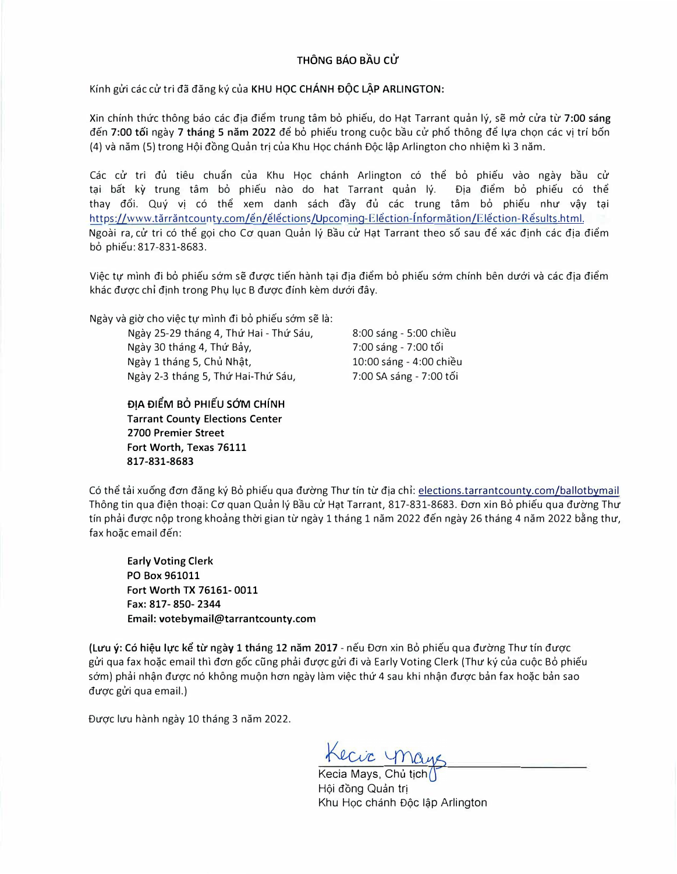# THÔNG BÁO BẦU CỬ

Kính gửi các cử tri đã đăng ký của KHU HOC CHÁNH ĐỘC LẤP ARLINGTON:

Xin chính thức thông báo các địa điểm trung tâm bỏ phiếu, do Hạt Tarrant quản lý, sẽ mở cửa từ 7:00 sáng đến 7:00 tối ngày 7 tháng 5 năm 2022 để bỏ phiếu trong cuộc bầu cử phổ thông để lưa chon các vi trí bốn (4) và năm (5) trong Hội đồng Quản trị của Khu Học chánh Độc lập Arlington cho nhiệm kì 3 năm.

Các cử tri đủ tiêu chuẩn của Khu Hoc chánh Arlington có thể bỏ phiếu vào ngày bầu cử tai bất kỳ trung tâm bỏ phiếu nào do hat Tarrant quản lý. Đia điểm bỏ phiếu có thể thay đổi. Quý vi có thể xem danh sách đầy đủ các trung tâm bỏ phiếu như vây tai https://www.tărrăntcounty.com/en/elections/Upcoming-Election-Information/Election-Results.html. Ngoài ra, cử tri có thể gọi cho Cơ quan Quản lý Bầu cử Hat Tarrant theo số sau để xác định các địa điểm b6 phieu: 817-831-8683.

Việc tự mình đi bỏ phiếu sớm sẽ được tiến hành tai địa điểm bỏ phiếu sớm chính bên dưới và các địa điểm khác được chỉ đinh trong Phu luc B được đính kèm dưới đây.

Ngày và giờ cho việc tự mình đi bỏ phiếu sớm sẽ là:

Ngày 25-29 tháng 4, Thứ Hai - Thứ Sáu, Ngày 30 tháng 4, Thứ Bảy, Ngay **1** thang 5, Chu Nh�t, Ngày 2-3 tháng 5, Thứ Hai-Thứ Sáu,

ĐỊA ĐIỂM BỎ PHIẾU SỚM CHÍNH **Tarrant County Elections Center 2700 Premier Street Fort Worth, Texas 76111 817-831-8683**

8:00 sáng - 5:00 chiều 7:00 sáng - 7:00 tối 10:00 sáng - 4:00 chiều 7:00 SA sang - 7:00 t6i

Có thể tải xuống đơn đăng ký Bỏ phiếu qua đường Thư tín từ địa chỉ: elections.tarrantcounty.com/ballotbymail Thông tin qua điện thoại: Cơ quan Quản lý Bầu cử Hạt Tarrant, 817-831-8683. Đơn xin Bỏ phiếu qua đường Thư tín phải được nộp trong khoảng thời gian từ ngày 1 tháng 1 năm 2022 đến ngày 26 tháng 4 năm 2022 bằng thư, fax hoặc email đến:

**Early Voting Clerk PO Box 961011 Fort Worth TX 76161- 0011 Fax: 817- 850-2344 Email: votebymail@tarrantcounty.com** 

(LU'u y: C6 hi�u hfc **ke** tU' ngay **1** thang **12** nam **2017 -** neu *Dan* xin Bo phieu qua dU'O'ng ThU' *tin* dU'Q'C gửi qua fax hoặc email thì đơn gốc cũng phải được gửi đi và Early Voting Clerk (Thư ký của cuộc Bỏ phiếu sớm) phải nhận được nó không muộn hơn ngày làm việc thứ 4 sau khi nhận được bản fax hoặc bản sao được gửi qua email.)

Được lưu hành ngày 10 tháng 3 năm 2022.

Kecic ync

Kecia Mays, Chủ tịch Hội đồng Quản trị Khu Học chánh Độc lập Arlington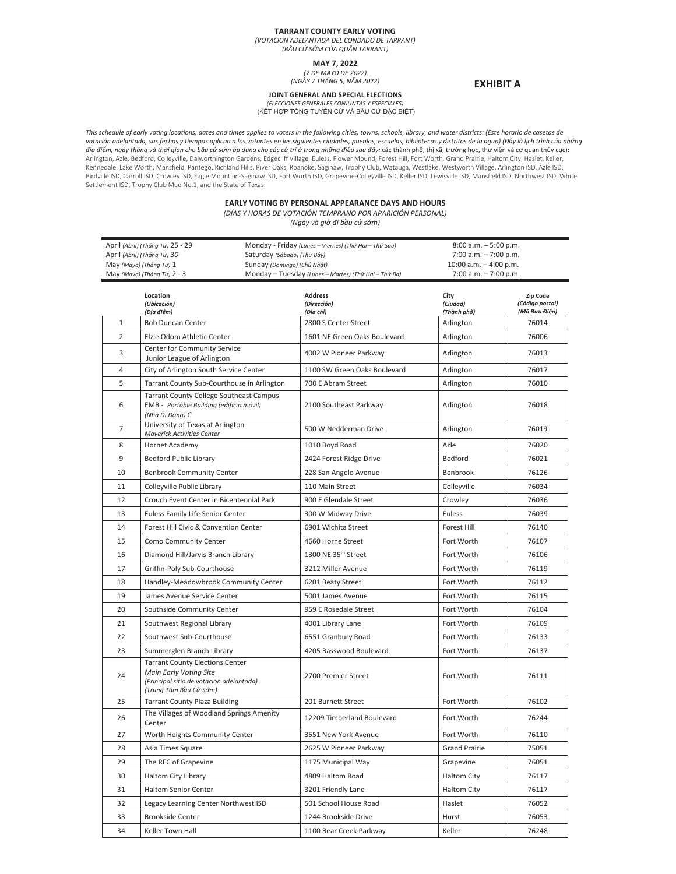#### **TARRANT COUNTY EARLY VOTING**

*(VOTACION ADELANTADA DEL CONDADO DE TARRANT) (BѷU CҜSҒM CҘA QUѺN TARRANT)*

**MAY 7, 2022**

*(7 DE MAYO DE 2022) (NGÀY 7 THÁNG 5, NM 2022)*

## **JOINT GENERAL AND SPECIAL ELECTIONS**

**EXHIBIT A** 

*(ELECCIONES GENERALES CONJUNTAS Y ESPECIALES)* (KӂT HӦP TӘNG TUYӆN CӰ VÀ BҪU CӰ ĈҺC BIӊT)

This schedule of early voting locations, dates and times applies to voters in the following cities, towns, schools, library, and water districts: (Este horario de casetas de votación adelantada, sus fechas y tiempos aplican a los votantes en las siguientes ciudades, pueblos, escuelas, bibliotecas y distritos de la agua) (Đây là lịch trình của những<br>địa điểm, ngày tháng và thời gian cho bầu cử Arlington, Azle, Bedford, Colleyville, Dalworthington Gardens, Edgecliff Village, Euless, Flower Mound, Forest Hill, Fort Worth, Grand Prairie, Haltom City, Haslet, Keller,<br>Kennedale, Lake Worth, Mansfield, Pantego, Richla Birdville ISD, Carroll ISD, Crowley ISD, Eagle Mountain-Saginaw ISD, Fort Worth ISD, Grapevine-Colleyville ISD, Keller ISD, Lewisville ISD, Mansfield ISD, Northwest ISD, White<br>Settlement ISD, Trophy Club Mud No.1, and the

### **EARLY VOTING BY PERSONAL APPEARANCE DAYS AND HOURS**

*(DÍAS Y HORAS DE VOTACIÓN TEMPRANO POR APARICIÓN PERSONAL)*

*(Ngày và giӁĜi bҥu cӊsӀm)*

| April (Abril) (Tháng Tư) 25 - 29 | Monday - Friday (Lunes – Viernes) (Thứ Hai – Thứ Sáu) | $8:00$ a.m. $-5:00$ p.m. |
|----------------------------------|-------------------------------------------------------|--------------------------|
| April (Abril) (Tháng Tư) 30      | Saturday (Sábado) (Thứ Bảy)                           | 7:00 a.m. - 7:00 p.m.    |
| May (Mayo) (Tháng Tư) 1          | Sunday (Domingo) (Chủ Nhật)                           | 10:00 a.m. $-$ 4:00 p.m. |
| May (Mayo) (Tháng Tư) 2 - 3      | Monday - Tuesday (Lunes - Martes) (Thứ Hai - Thứ Ba)  | $7:00$ a.m. $-7:00$ p.m. |

|                | Location<br>(Ubicación)<br>(Địa điểm)                                                                                                  | <b>Address</b><br>(Dirección)<br>(Địa chỉ) | City<br>(Ciudad)<br>(Thành phố) | Zip Code<br>(Código postal)<br>(Mã Bưu Điện) |
|----------------|----------------------------------------------------------------------------------------------------------------------------------------|--------------------------------------------|---------------------------------|----------------------------------------------|
| $1\,$          | <b>Bob Duncan Center</b>                                                                                                               | 2800 S Center Street                       | Arlington                       | 76014                                        |
| $\overline{2}$ | Elzie Odom Athletic Center                                                                                                             | 1601 NE Green Oaks Boulevard               | Arlington                       | 76006                                        |
| 3              | Center for Community Service<br>Junior League of Arlington                                                                             | 4002 W Pioneer Parkway                     | Arlington                       | 76013                                        |
| 4              | City of Arlington South Service Center                                                                                                 | 1100 SW Green Oaks Boulevard               | Arlington                       | 76017                                        |
| 5              | Tarrant County Sub-Courthouse in Arlington                                                                                             | 700 E Abram Street                         | Arlington                       | 76010                                        |
| 6              | <b>Tarrant County College Southeast Campus</b><br>EMB - Portable Building (edificio móvil)<br>(Nhà Di Động) C                          | 2100 Southeast Parkway                     | Arlington                       | 76018                                        |
| $\overline{7}$ | University of Texas at Arlington<br><b>Maverick Activities Center</b>                                                                  | 500 W Nedderman Drive                      | Arlington                       | 76019                                        |
| 8              | Hornet Academy                                                                                                                         | 1010 Boyd Road                             | Azle                            | 76020                                        |
| 9              | <b>Bedford Public Library</b>                                                                                                          | 2424 Forest Ridge Drive                    | Bedford                         | 76021                                        |
| 10             | <b>Benbrook Community Center</b>                                                                                                       | 228 San Angelo Avenue                      | Benbrook                        | 76126                                        |
| 11             | Colleyville Public Library                                                                                                             | 110 Main Street                            | Colleyville                     | 76034                                        |
| 12             | Crouch Event Center in Bicentennial Park                                                                                               | 900 E Glendale Street                      | Crowley                         | 76036                                        |
| 13             | Euless Family Life Senior Center                                                                                                       | 300 W Midway Drive                         | Euless                          | 76039                                        |
| 14             | Forest Hill Civic & Convention Center                                                                                                  | 6901 Wichita Street                        | Forest Hill                     | 76140                                        |
| 15             | Como Community Center                                                                                                                  | 4660 Horne Street                          | Fort Worth                      | 76107                                        |
| 16             | Diamond Hill/Jarvis Branch Library                                                                                                     | 1300 NE 35 <sup>th</sup> Street            | Fort Worth                      | 76106                                        |
| 17             | Griffin-Poly Sub-Courthouse                                                                                                            | 3212 Miller Avenue                         | Fort Worth                      | 76119                                        |
| 18             | Handley-Meadowbrook Community Center                                                                                                   | 6201 Beaty Street                          | Fort Worth                      | 76112                                        |
| 19             | James Avenue Service Center                                                                                                            | 5001 James Avenue                          | Fort Worth                      | 76115                                        |
| 20             | Southside Community Center                                                                                                             | 959 E Rosedale Street                      | Fort Worth                      | 76104                                        |
| 21             | Southwest Regional Library                                                                                                             | 4001 Library Lane                          | Fort Worth                      | 76109                                        |
| 22             | Southwest Sub-Courthouse                                                                                                               | 6551 Granbury Road                         | Fort Worth                      | 76133                                        |
| 23             | Summerglen Branch Library                                                                                                              | 4205 Basswood Boulevard                    | Fort Worth                      | 76137                                        |
| 24             | <b>Tarrant County Elections Center</b><br>Main Early Voting Site<br>(Principal sitio de votación adelantada)<br>(Trung Tâm Bầu Cử Sớm) | 2700 Premier Street                        | Fort Worth                      | 76111                                        |
| 25             | <b>Tarrant County Plaza Building</b>                                                                                                   | 201 Burnett Street                         | Fort Worth                      | 76102                                        |
| 26             | The Villages of Woodland Springs Amenity<br>Center                                                                                     | 12209 Timberland Boulevard                 | Fort Worth                      | 76244                                        |
| 27             | Worth Heights Community Center                                                                                                         | 3551 New York Avenue                       | Fort Worth                      | 76110                                        |
| 28             | Asia Times Square                                                                                                                      | 2625 W Pioneer Parkway                     | <b>Grand Prairie</b>            | 75051                                        |
| 29             | The REC of Grapevine                                                                                                                   | 1175 Municipal Way                         | Grapevine                       | 76051                                        |
| 30             | <b>Haltom City Library</b>                                                                                                             | 4809 Haltom Road                           | <b>Haltom City</b>              | 76117                                        |
| 31             | <b>Haltom Senior Center</b>                                                                                                            | 3201 Friendly Lane                         | <b>Haltom City</b>              | 76117                                        |
| 32             | Legacy Learning Center Northwest ISD                                                                                                   | 501 School House Road                      | Haslet                          | 76052                                        |
| 33             | <b>Brookside Center</b>                                                                                                                | 1244 Brookside Drive                       | Hurst                           | 76053                                        |
| 34             | Keller Town Hall                                                                                                                       | 1100 Bear Creek Parkway                    | Keller                          | 76248                                        |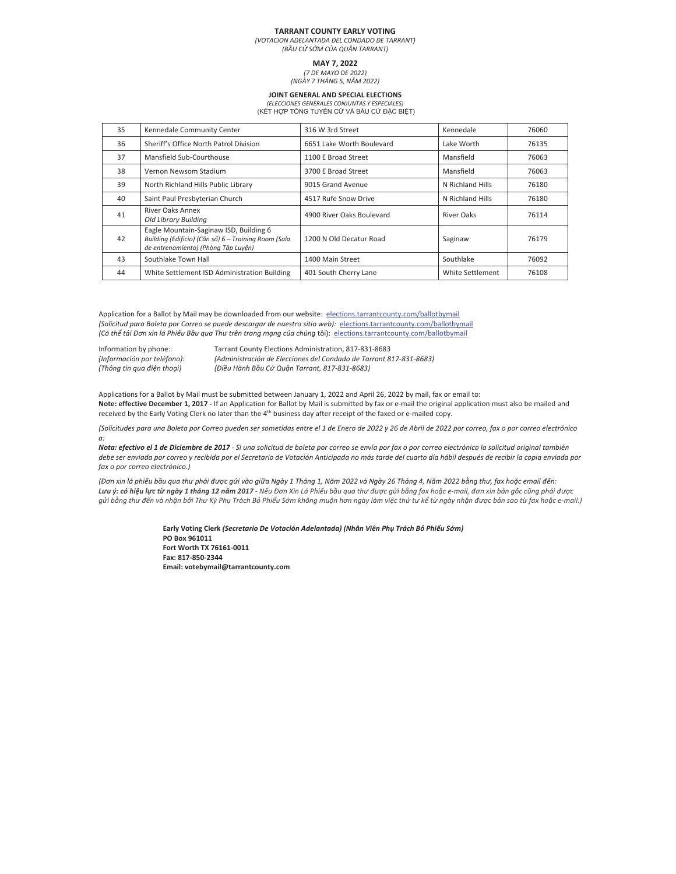#### **TARRANT COUNTY EARLY VOTING**

*(VOTACION ADELANTADA DEL CONDADO DE TARRANT) (BѷU CҜSҒM CҘA QUѺN TARRANT)*

**MAY 7, 2022**

*(7 DE MAYO DE 2022) (NGÀY 7 THÁNG 5, NM 2022)*

### **JOINT GENERAL AND SPECIAL ELECTIONS**

*(ELECCIONES GENERALES CONJUNTAS Y ESPECIALES)* (KӂT HӦP TӘNG TUYӆN CӰ VÀ BҪU CӰ ĈҺC BIӊT)

| 35 | Kennedale Community Center                                                                                                            | 316 W 3rd Street          | Kennedale        | 76060 |
|----|---------------------------------------------------------------------------------------------------------------------------------------|---------------------------|------------------|-------|
| 36 | Sheriff's Office North Patrol Division                                                                                                | 6651 Lake Worth Boulevard | Lake Worth       | 76135 |
| 37 | Mansfield Sub-Courthouse                                                                                                              | 1100 E Broad Street       | Mansfield        | 76063 |
| 38 | Vernon Newsom Stadium                                                                                                                 | 3700 E Broad Street       | Mansfield        | 76063 |
| 39 | North Richland Hills Public Library                                                                                                   | 9015 Grand Avenue         | N Richland Hills | 76180 |
| 40 | Saint Paul Presbyterian Church                                                                                                        | 4517 Rufe Snow Drive      | N Richland Hills | 76180 |
| 41 | <b>River Oaks Annex</b><br>Old Library Building                                                                                       | 4900 River Oaks Boulevard | River Oaks       | 76114 |
| 42 | Eagle Mountain-Saginaw ISD, Building 6<br>Building (Edificio) (Căn số) 6 - Training Room (Sala<br>de entrenamiento) (Phòng Tập Luyện) | 1200 N Old Decatur Road   | Saginaw          | 76179 |
| 43 | Southlake Town Hall                                                                                                                   | 1400 Main Street          | Southlake        | 76092 |
| 44 | White Settlement ISD Administration Building                                                                                          | 401 South Cherry Lane     | White Settlement | 76108 |

Application for a Ballot by Mail may be downloaded from our website: elections.tarrantcounty.com/ballotbymail *(Solicitud para Boleta por Correo se puede descargar de nuestro sitio web):* elections.tarrantcounty.com/ballotbymail (Có thể tải Đơn xin lá Phiếu Bầu qua Thư trên trang mạng của chúng tôi): elections.tarrantcounty.com/ballotbymail

Information by phone: Tarrant County Elections Administration, 817-831-8683<br>(Información por teléfono): (Administración de Elecciones del Condado de Tarrant 8. *(Información por teléfono): (Administración de Elecciones del Condado de Tarrant 817Ͳ831Ͳ8683)* (Thông tin qua điện thoại) (Điều Hành Bầu Cử Quận Tarrant, 817-831-8683)

Applications for a Ballot by Mail must be submitted between January 1, 2022 and April 26, 2022 by mail, fax or email to: **Note: effective December 1, 2017** - If an Application for Ballot by Mail is submitted by fax or e-mail the original application must also be mailed and received by the Early Voting Clerk no later than the 4<sup>th</sup> business day after receipt of the faxed or e-mailed copy.

(Solicitudes para una Boleta por Correo pueden ser sometidas entre el 1 de Enero de 2022 y 26 de Abril de 2022 por correo, fax o por correo electrónico *a:* 

Nota: efectivo el 1 de Diciembre de 2017 - Si una solicitud de boleta por correo se envía por fax o por correo electrónico la solicitud original también debe ser enviada por correo y recibida por el Secretario de Votación Anticipada no más tarde del cuarto día hábil después de recibir la copia enviada por *fax o por correo electrónico.)*

(Đơn xin lá phiếu bầu qua thư phải được gửi vào giữa Ngày 1 Tháng 1, Năm 2022 và Ngày 26 Tháng 4, Năm 2022 bằng thư, fax hoặc email đến: Lưu ý: có hiệu lực từ ngày 1 tháng 12 năm 2017 - Nếu Đơn Xin Lá Phiếu bầu qua thư được gửi bằng fax hoặc e-mail, đơn xin bản gốc cũng phải được gửi bằng thư đến và nhận bởi Thư Ký Phụ Trách Bỏ Phiếu Sớm không muộn hơn ngày làm việc thứ tư kể từ ngày nhận được bản sao từ fax hoặc e-mail.)

> Early Voting Clerk (Secretario De Votación Adelantada) (Nhân Viên Phụ Trách Bỏ Phiếu Sớm) **PO Box 961011**  $Fort$  **Worth TX** 76161-0011  $$  **Email: votebymail@tarrantcounty.com**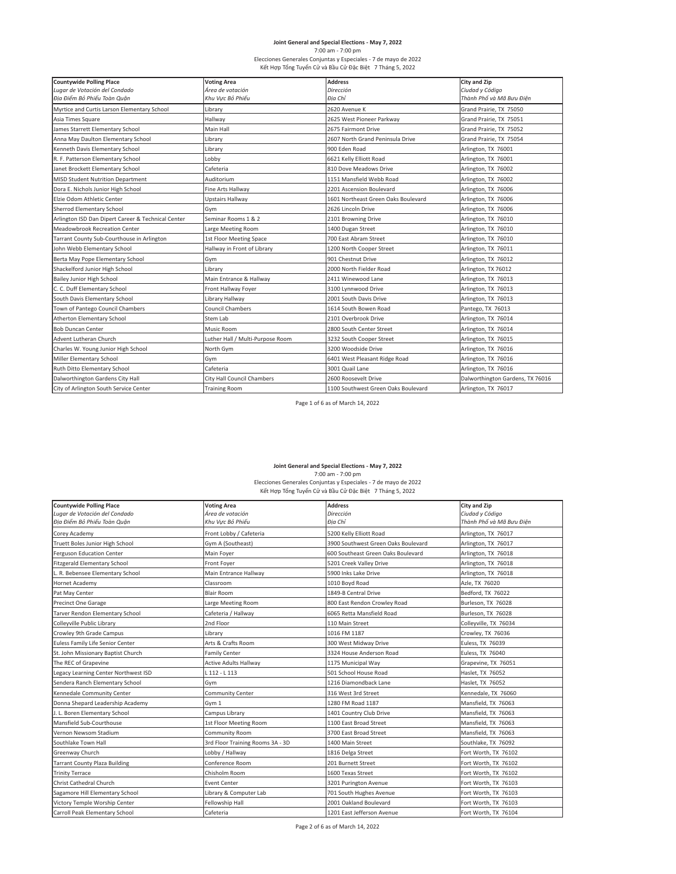# **Joint General and Special Elections - May 7, 2022<br>7:00 am - 7:00 pm<br>Elecciones Generales Conjuntas y Especiales - 7 de mayo de 2022<br>Κết Hợp Tổng Tuyến Cử và Bầu Cử Đặc Biệt 7 Tháng 5, 2022**

| <b>Countywide Polling Place</b>                    | <b>Voting Area</b>               | <b>Address</b>                      | <b>City and Zip</b>              |
|----------------------------------------------------|----------------------------------|-------------------------------------|----------------------------------|
| Lugar de Votación del Condado                      | Área de votación                 | Dirección                           | Ciudad y Código                  |
| Địa Điểm Bỏ Phiếu Toàn Quân                        | Khu Vưc Bỏ Phiếu                 | Địa Chỉ                             | Thành Phố và Mã Bưu Điên         |
| Myrtice and Curtis Larson Elementary School        | Library                          | 2620 Avenue K                       | Grand Prairie, TX 75050          |
| Asia Times Square                                  | Hallway                          | 2625 West Pioneer Parkway           | Grand Prairie, TX 75051          |
| James Starrett Elementary School                   | Main Hall                        | 2675 Fairmont Drive                 | Grand Prairie, TX 75052          |
| Anna May Daulton Elementary School                 | Library                          | 2607 North Grand Peninsula Drive    | Grand Prairie, TX 75054          |
| Kenneth Davis Elementary School                    | Library                          | 900 Eden Road                       | Arlington, TX 76001              |
| R. F. Patterson Elementary School                  | Lobby                            | 6621 Kelly Elliott Road             | Arlington, TX 76001              |
| Janet Brockett Elementary School                   | Cafeteria                        | 810 Dove Meadows Drive              | Arlington, TX 76002              |
| <b>MISD Student Nutrition Department</b>           | Auditorium                       | 1151 Mansfield Webb Road            | Arlington, TX 76002              |
| Dora E. Nichols Junior High School                 | Fine Arts Hallway                | 2201 Ascension Boulevard            | Arlington, TX 76006              |
| Elzie Odom Athletic Center                         | Upstairs Hallway                 | 1601 Northeast Green Oaks Boulevard | Arlington, TX 76006              |
| Sherrod Elementary School                          | Gym                              | 2626 Lincoln Drive                  | Arlington, TX 76006              |
| Arlington ISD Dan Dipert Career & Technical Center | Seminar Rooms 1 & 2              | 2101 Browning Drive                 | Arlington, TX 76010              |
| Meadowbrook Recreation Center                      | Large Meeting Room               | 1400 Dugan Street                   | Arlington, TX 76010              |
| Tarrant County Sub-Courthouse in Arlington         | 1st Floor Meeting Space          | 700 East Abram Street               | Arlington, TX 76010              |
| John Webb Elementary School                        | Hallway in Front of Library      | 1200 North Cooper Street            | Arlington, TX 76011              |
| Berta May Pope Elementary School                   | Gym                              | 901 Chestnut Drive                  | Arlington, TX 76012              |
| Shackelford Junior High School                     | Library                          | 2000 North Fielder Road             | Arlington, TX 76012              |
| Bailey Junior High School                          | Main Entrance & Hallway          | 2411 Winewood Lane                  | Arlington, TX 76013              |
| C. C. Duff Elementary School                       | Front Hallway Foyer              | 3100 Lynnwood Drive                 | Arlington, TX 76013              |
| South Davis Elementary School                      | Library Hallway                  | 2001 South Davis Drive              | Arlington, TX 76013              |
| Town of Pantego Council Chambers                   | Council Chambers                 | 1614 South Bowen Road               | Pantego, TX 76013                |
| Atherton Elementary School                         | Stem Lab                         | 2101 Overbrook Drive                | Arlington, TX 76014              |
| <b>Bob Duncan Center</b>                           | Music Room                       | 2800 South Center Street            | Arlington, TX 76014              |
| Advent Lutheran Church                             | Luther Hall / Multi-Purpose Room | 3232 South Cooper Street            | Arlington, TX 76015              |
| Charles W. Young Junior High School                | North Gym                        | 3200 Woodside Drive                 | Arlington, TX 76016              |
| Miller Elementary School                           | Gym                              | 6401 West Pleasant Ridge Road       | Arlington, TX 76016              |
| Ruth Ditto Elementary School                       | Cafeteria                        | 3001 Quail Lane                     | Arlington, TX 76016              |
| Dalworthington Gardens City Hall                   | City Hall Council Chambers       | 2600 Roosevelt Drive                | Dalworthington Gardens, TX 76016 |
| City of Arlington South Service Center             | <b>Training Room</b>             | 1100 Southwest Green Oaks Boulevard | Arlington, TX 76017              |

Page 1 of 6 as of March 14, 2022

**Joint General and Special Elections - May 7, 2022<br>7:00 am - 7:00 pm<br>Elecciones Generales Conjuntas y Especiales - 7 de mayo de 2022<br>Κết Hợp Tổng Tuyến Cử và Bầu Cử Đặc Biệt 7 Tháng 5, 2022** 

| <b>Countywide Polling Place</b>      | <b>Voting Area</b>               | <b>Address</b>                      | City and Zip             |
|--------------------------------------|----------------------------------|-------------------------------------|--------------------------|
| Lugar de Votación del Condado        | Área de votación                 | Dirección                           | Ciudad y Código          |
| Địa Điểm Bỏ Phiếu Toàn Quân          | Khu Vưc Bỏ Phiếu                 | Địa Chỉ                             | Thành Phố và Mã Bưu Điên |
| Corey Academy                        | Front Lobby / Cafeteria          | 5200 Kelly Elliott Road             | Arlington, TX 76017      |
| Truett Boles Junior High School      | Gym A (Southeast)                | 3900 Southwest Green Oaks Boulevard | Arlington, TX 76017      |
| <b>Ferguson Education Center</b>     | Main Foyer                       | 600 Southeast Green Oaks Boulevard  | Arlington, TX 76018      |
| <b>Fitzgerald Elementary School</b>  | Front Foyer                      | 5201 Creek Valley Drive             | Arlington, TX 76018      |
| L. R. Bebensee Elementary School     | Main Entrance Hallway            | 5900 Inks Lake Drive                | Arlington, TX 76018      |
| Hornet Academy                       | Classroom                        | 1010 Boyd Road                      | Azle. TX 76020           |
| Pat May Center                       | <b>Blair Room</b>                | 1849-B Central Drive                | Bedford, TX 76022        |
| Precinct One Garage                  | Large Meeting Room               | 800 East Rendon Crowley Road        | Burleson, TX 76028       |
| Tarver Rendon Elementary School      | Cafeteria / Hallway              | 6065 Retta Mansfield Road           | Burleson, TX 76028       |
| Colleyville Public Library           | 2nd Floor                        | 110 Main Street                     | Colleyville, TX 76034    |
| Crowley 9th Grade Campus             | Library                          | 1016 FM 1187                        | Crowley, TX 76036        |
| Euless Family Life Senior Center     | Arts & Crafts Room               | 300 West Midway Drive               | Euless, TX 76039         |
| St. John Missionary Baptist Church   | <b>Family Center</b>             | 3324 House Anderson Road            | Euless, TX 76040         |
| The REC of Grapevine                 | <b>Active Adults Hallway</b>     | 1175 Municipal Way                  | Grapevine, TX 76051      |
| Legacy Learning Center Northwest ISD | L 112 - L 113                    | 501 School House Road               | Haslet, TX 76052         |
| Sendera Ranch Elementary School      | Gym                              | 1216 Diamondback Lane               | Haslet, TX 76052         |
| Kennedale Community Center           | <b>Community Center</b>          | 316 West 3rd Street                 | Kennedale, TX 76060      |
| Donna Shepard Leadership Academy     | Gvm 1                            | 1280 FM Road 1187                   | Mansfield, TX 76063      |
| J. L. Boren Elementary School        | Campus Library                   | 1401 Country Club Drive             | Mansfield, TX 76063      |
| Mansfield Sub-Courthouse             | 1st Floor Meeting Room           | 1100 Fast Broad Street              | Mansfield, TX 76063      |
| Vernon Newsom Stadium                | Community Room                   | 3700 East Broad Street              | Mansfield, TX 76063      |
| Southlake Town Hall                  | 3rd Floor Training Rooms 3A - 3D | 1400 Main Street                    | Southlake, TX 76092      |
| Greenway Church                      | Lobby / Hallway                  | 1816 Delga Street                   | Fort Worth, TX 76102     |
| <b>Tarrant County Plaza Building</b> | Conference Room                  | 201 Burnett Street                  | Fort Worth, TX 76102     |
| <b>Trinity Terrace</b>               | Chisholm Room                    | 1600 Texas Street                   | Fort Worth, TX 76102     |
| Christ Cathedral Church              | <b>Event Center</b>              | 3201 Purington Avenue               | Fort Worth, TX 76103     |
| Sagamore Hill Elementary School      | Library & Computer Lab           | 701 South Hughes Avenue             | Fort Worth, TX 76103     |
| Victory Temple Worship Center        | Fellowship Hall                  | 2001 Oakland Boulevard              | Fort Worth, TX 76103     |
| Carroll Peak Elementary School       | Cafeteria                        | 1201 East Jefferson Avenue          | Fort Worth, TX 76104     |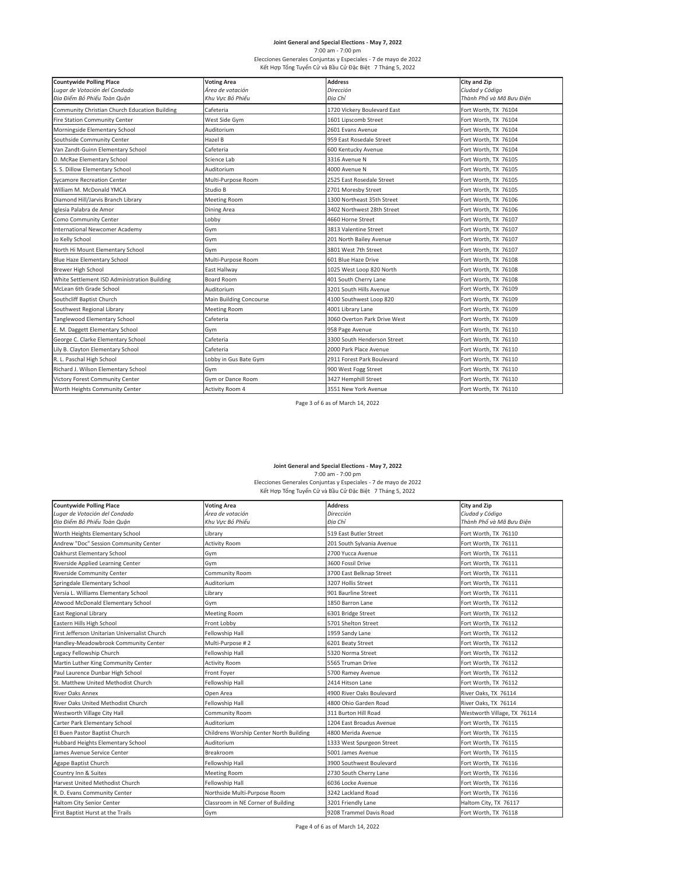# **Joint General and Special Elections - May 7, 2022<br>7:00 am - 7:00 pm<br>Elecciones Generales Conjuntas y Especiales - 7 de mayo de 2022<br>Κết Hợp Tổng Tuyến Cử và Bầu Cử Đặc Biệt 7 Tháng 5, 2022**

| <b>Countywide Polling Place</b>               | <b>Voting Area</b>      | <b>Address</b>               | City and Zip             |
|-----------------------------------------------|-------------------------|------------------------------|--------------------------|
| Lugar de Votación del Condado                 | Área de votación        | Dirección                    | Ciudad y Código          |
| Địa Điểm Bỏ Phiếu Toàn Quận                   | Khu Vưc Bỏ Phiếu        | Đia Chỉ                      | Thành Phố và Mã Bưu Điện |
| Community Christian Church Education Building | Cafeteria               | 1720 Vickery Boulevard East  | Fort Worth, TX 76104     |
| <b>Fire Station Community Center</b>          | West Side Gvm           | 1601 Lipscomb Street         | Fort Worth, TX 76104     |
| Morningside Elementary School                 | Auditorium              | 2601 Evans Avenue            | Fort Worth, TX 76104     |
| Southside Community Center                    | Hazel B                 | 959 East Rosedale Street     | Fort Worth, TX 76104     |
| Van Zandt-Guinn Elementary School             | Cafeteria               | 600 Kentucky Avenue          | Fort Worth, TX 76104     |
| D. McRae Elementary School                    | Science Lab             | 3316 Avenue N                | Fort Worth, TX 76105     |
| S. S. Dillow Elementary School                | Auditorium              | 4000 Avenue N                | Fort Worth, TX 76105     |
| <b>Sycamore Recreation Center</b>             | Multi-Purpose Room      | 2525 East Rosedale Street    | Fort Worth, TX 76105     |
| William M. McDonald YMCA                      | Studio B                | 2701 Moresby Street          | Fort Worth, TX 76105     |
| Diamond Hill/Jarvis Branch Library            | <b>Meeting Room</b>     | 1300 Northeast 35th Street   | Fort Worth, TX 76106     |
| Iglesia Palabra de Amor                       | <b>Dining Area</b>      | 3402 Northwest 28th Street   | Fort Worth, TX 76106     |
| Como Community Center                         | Lobby                   | 4660 Horne Street            | Fort Worth, TX 76107     |
| International Newcomer Academy                | Gym                     | 3813 Valentine Street        | Fort Worth, TX 76107     |
| Jo Kelly School                               | Gym                     | 201 North Bailey Avenue      | Fort Worth, TX 76107     |
| North Hi Mount Elementary School              | Gym                     | 3801 West 7th Street         | Fort Worth, TX 76107     |
| <b>Blue Haze Elementary School</b>            | Multi-Purpose Room      | 601 Blue Haze Drive          | Fort Worth, TX 76108     |
| Brewer High School                            | East Hallway            | 1025 West Loop 820 North     | Fort Worth, TX 76108     |
| White Settlement ISD Administration Building  | <b>Board Room</b>       | 401 South Cherry Lane        | Fort Worth, TX 76108     |
| McLean 6th Grade School                       | Auditorium              | 3201 South Hills Avenue      | Fort Worth, TX 76109     |
| Southcliff Baptist Church                     | Main Building Concourse | 4100 Southwest Loop 820      | Fort Worth, TX 76109     |
| Southwest Regional Library                    | <b>Meeting Room</b>     | 4001 Library Lane            | Fort Worth, TX 76109     |
| <b>Tanglewood Elementary School</b>           | Cafeteria               | 3060 Overton Park Drive West | Fort Worth, TX 76109     |
| E. M. Daggett Elementary School               | Gym                     | 958 Page Avenue              | Fort Worth, TX 76110     |
| George C. Clarke Elementary School            | Cafeteria               | 3300 South Henderson Street  | Fort Worth, TX 76110     |
| Lily B. Clayton Elementary School             | Cafeteria               | 2000 Park Place Avenue       | Fort Worth, TX 76110     |
| R. L. Paschal High School                     | Lobby in Gus Bate Gym   | 2911 Forest Park Boulevard   | Fort Worth, TX 76110     |
| Richard J. Wilson Elementary School           | Gym                     | 900 West Fogg Street         | Fort Worth, TX 76110     |
| Victory Forest Community Center               | Gym or Dance Room       | 3427 Hemphill Street         | Fort Worth, TX 76110     |
| Worth Heights Community Center                | Activity Room 4         | 3551 New York Avenue         | Fort Worth, TX 76110     |

Page 3 of 6 as of March 14, 2022

**Joint General and Special Elections - May 7, 2022<br>7:00 am - 7:00 pm<br>Elecciones Generales Conjuntas y Especiales - 7 de mayo de 2022<br>Κết Hợp Tổng Tuyến Cử và Bầu Cử Đặc Biệt 7 Tháng 5, 2022** 

| <b>Countywide Polling Place</b>               | <b>Voting Area</b>                      | <b>Address</b>            | City and Zip                |
|-----------------------------------------------|-----------------------------------------|---------------------------|-----------------------------|
| Lugar de Votación del Condado                 | Área de votación                        | Dirección                 | Ciudad y Código             |
| Địa Điểm Bỏ Phiếu Toàn Quân                   | Khu Vưc Bỏ Phiếu                        | Đia Chỉ                   | Thành Phố và Mã Bưu Điên    |
| Worth Heights Elementary School               | Library                                 | 519 East Butler Street    | Fort Worth, TX 76110        |
| Andrew "Doc" Session Community Center         | <b>Activity Room</b>                    | 201 South Sylvania Avenue | Fort Worth, TX 76111        |
| Oakhurst Elementary School                    | Gym                                     | 2700 Yucca Avenue         | Fort Worth, TX 76111        |
| Riverside Applied Learning Center             | Gym                                     | 3600 Fossil Drive         | Fort Worth, TX 76111        |
| <b>Riverside Community Center</b>             | Community Room                          | 3700 East Belknap Street  | Fort Worth, TX 76111        |
| Springdale Elementary School                  | Auditorium                              | 3207 Hollis Street        | Fort Worth, TX 76111        |
| Versia L. Williams Elementary School          | Library                                 | 901 Baurline Street       | Fort Worth, TX 76111        |
| Atwood McDonald Elementary School             | Gym                                     | 1850 Barron Lane          | Fort Worth, TX 76112        |
| <b>East Regional Library</b>                  | <b>Meeting Room</b>                     | 6301 Bridge Street        | Fort Worth, TX 76112        |
| Eastern Hills High School                     | Front Lobby                             | 5701 Shelton Street       | Fort Worth, TX 76112        |
| First Jefferson Unitarian Universalist Church | Fellowship Hall                         | 1959 Sandy Lane           | Fort Worth, TX 76112        |
| Handley-Meadowbrook Community Center          | Multi-Purpose #2                        | 6201 Beaty Street         | Fort Worth, TX 76112        |
| Legacy Fellowship Church                      | Fellowship Hall                         | 5320 Norma Street         | Fort Worth, TX 76112        |
| Martin Luther King Community Center           | <b>Activity Room</b>                    | 5565 Truman Drive         | Fort Worth, TX 76112        |
| Paul Laurence Dunbar High School              | Front Foyer                             | 5700 Ramey Avenue         | Fort Worth, TX 76112        |
| St. Matthew United Methodist Church           | Fellowship Hall                         | 2414 Hitson Lane          | Fort Worth, TX 76112        |
| <b>River Oaks Annex</b>                       | Open Area                               | 4900 River Oaks Boulevard | River Oaks, TX 76114        |
| River Oaks United Methodist Church            | Fellowship Hall                         | 4800 Ohio Garden Road     | River Oaks, TX 76114        |
| Westworth Village City Hall                   | Community Room                          | 311 Burton Hill Road      | Westworth Village, TX 76114 |
| Carter Park Elementary School                 | Auditorium                              | 1204 East Broadus Avenue  | Fort Worth, TX 76115        |
| El Buen Pastor Baptist Church                 | Childrens Worship Center North Building | 4800 Merida Avenue        | Fort Worth, TX 76115        |
| Hubbard Heights Elementary School             | Auditorium                              | 1333 West Spurgeon Street | Fort Worth, TX 76115        |
| James Avenue Service Center                   | Breakroom                               | 5001 James Avenue         | Fort Worth, TX 76115        |
| Agape Baptist Church                          | <b>Fellowship Hall</b>                  | 3900 Southwest Boulevard  | Fort Worth, TX 76116        |
| Country Inn & Suites                          | <b>Meeting Room</b>                     | 2730 South Cherry Lane    | Fort Worth, TX 76116        |
| <b>Harvest United Methodist Church</b>        | Fellowship Hall                         | 6036 Locke Avenue         | Fort Worth, TX 76116        |
| R. D. Evans Community Center                  | Northside Multi-Purpose Room            | 3242 Lackland Road        | Fort Worth, TX 76116        |
| <b>Haltom City Senior Center</b>              | Classroom in NE Corner of Building      | 3201 Friendly Lane        | Haltom City, TX 76117       |
| First Baptist Hurst at the Trails             | Gym                                     | 9208 Trammel Davis Road   | Fort Worth, TX 76118        |

Page 4 of 6 as of March 14, 2022